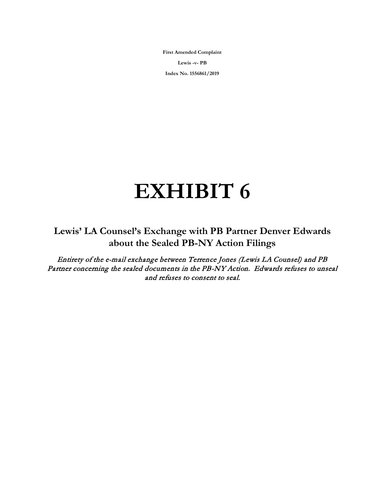**First Amended Complaint Lewis -v- PB Index No. 1556861/2019**

## **EXHIBIT 6**

**Lewis' LA Counsel's Exchange with PB Partner Denver Edwards about the Sealed PB-NY Action Filings**

Entirety of the e-mail exchange between Terrence Jones (Lewis LA Counsel) and PB Partner concerning the sealed documents in the PB-NY Action. Edwards refuses to unseal and refuses to consent to seal.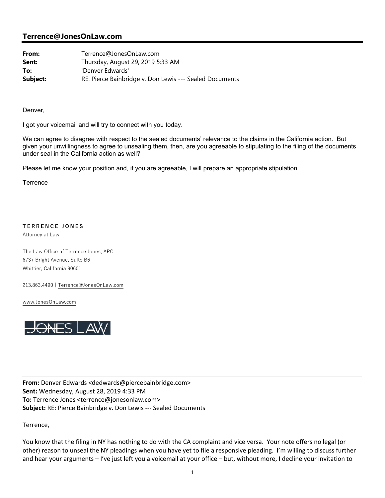## **Terrence@JonesOnLaw.com**

| From:    | Terrence@JonesOnLaw.com                                 |
|----------|---------------------------------------------------------|
| Sent:    | Thursday, August 29, 2019 5:33 AM                       |
| To:      | 'Denver Edwards'                                        |
| Subject: | RE: Pierce Bainbridge v. Don Lewis --- Sealed Documents |

Denver,

I got your voicemail and will try to connect with you today.

We can agree to disagree with respect to the sealed documents' relevance to the claims in the California action. But given your unwillingness to agree to unsealing them, then, are you agreeable to stipulating to the filing of the documents under seal in the California action as well?

Please let me know your position and, if you are agreeable, I will prepare an appropriate stipulation.

**Terrence** 

## **TERRENCE JONES**

Attorney at Law

The Law Office of Terrence Jones, APC 6737 Bright Avenue, Suite B6 Whittier, California 90601

213.863.4490 | Terrence@JonesOnLaw.com

www.JonesOnLaw.com



**From:** Denver Edwards <dedwards@piercebainbridge.com> **Sent:** Wednesday, August 28, 2019 4:33 PM **To:** Terrence Jones <terrence@jonesonlaw.com> **Subject:** RE: Pierce Bainbridge v. Don Lewis ‐‐‐ Sealed Documents

Terrence,

You know that the filing in NY has nothing to do with the CA complaint and vice versa. Your note offers no legal (or other) reason to unseal the NY pleadings when you have yet to file a responsive pleading. I'm willing to discuss further and hear your arguments – I've just left you a voicemail at your office – but, without more, I decline your invitation to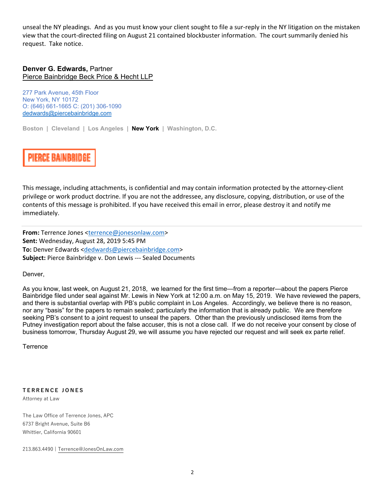unseal the NY pleadings. And as you must know your client sought to file a sur-reply in the NY litigation on the mistaken view that the court‐directed filing on August 21 contained blockbuster information. The court summarily denied his request. Take notice.

## **Denver G. Edwards,** Partner Pierce Bainbridge Beck Price & Hecht LLP

277 Park Avenue, 45th Floor New York, NY 10172 O: (646) 661-1665 C: (201) 306-1090 dedwards@piercebainbridge.com

**Boston | Cleveland | Los Angeles | New York | Washington, D.C.**

PIERCE BAINBRIDGE

This message, including attachments, is confidential and may contain information protected by the attorney‐client privilege or work product doctrine. If you are not the addressee, any disclosure, copying, distribution, or use of the contents of this message is prohibited. If you have received this email in error, please destroy it and notify me immediately.

**From:** Terrence Jones <terrence@jonesonlaw.com> **Sent:** Wednesday, August 28, 2019 5:45 PM **To:** Denver Edwards <dedwards@piercebainbridge.com> **Subject:** Pierce Bainbridge v. Don Lewis ‐‐‐ Sealed Documents

Denver,

As you know, last week, on August 21, 2018, we learned for the first time—from a reporter—about the papers Pierce Bainbridge filed under seal against Mr. Lewis in New York at 12:00 a.m. on May 15, 2019. We have reviewed the papers, and there is substantial overlap with PB's public complaint in Los Angeles. Accordingly, we believe there is no reason, nor any "basis" for the papers to remain sealed; particularly the information that is already public. We are therefore seeking PB's consent to a joint request to unseal the papers. Other than the previously undisclosed items from the Putney investigation report about the false accuser, this is not a close call. If we do not receive your consent by close of business tomorrow, Thursday August 29, we will assume you have rejected our request and will seek ex parte relief.

**Terrence** 

**TERRENCE JONES**

Attorney at Law

The Law Office of Terrence Jones, APC 6737 Bright Avenue, Suite B6 Whittier, California 90601

213.863.4490 | Terrence@JonesOnLaw.com